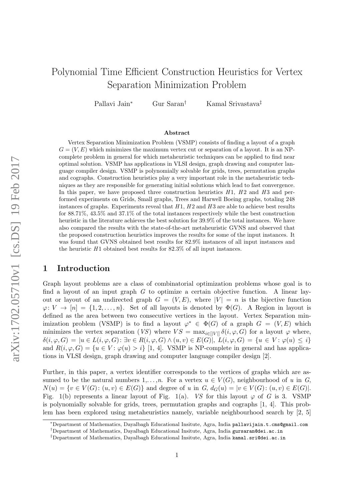# Polynomial Time Efficient Construction Heuristics for Vertex Separation Minimization Problem

Pallavi Jain<sup>∗</sup> Gur Saran† Kamal Srivastava‡

#### Abstract

Vertex Separation Minimization Problem (VSMP) consists of finding a layout of a graph  $G = (V, E)$  which minimizes the maximum vertex cut or separation of a layout. It is an NPcomplete problem in general for which metaheuristic techniques can be applied to find near optimal solution. VSMP has applications in VLSI design, graph drawing and computer language compiler design. VSMP is polynomially solvable for grids, trees, permutation graphs and cographs. Construction heuristics play a very important role in the metaheuristic techniques as they are responsible for generating initial solutions which lead to fast convergence. In this paper, we have proposed three construction heuristics  $H1$ ,  $H2$  and  $H3$  and performed experiments on Grids, Small graphs, Trees and Harwell Boeing graphs, totaling 248 instances of graphs. Experiments reveal that  $H1$ ,  $H2$  and  $H3$  are able to achieve best results for 88.71%, 43.5% and 37.1% of the total instances respectively while the best construction heuristic in the literature achieves the best solution for 39.9% of the total instances. We have also compared the results with the state-of-the-art metaheuristic GVNS and observed that the proposed construction heuristics improves the results for some of the input instances. It was found that GVNS obtained best results for 82.9% instances of all input instances and the heuristic  $H1$  obtained best results for  $82.3\%$  of all input instances.

# 1 Introduction

Graph layout problems are a class of combinatorial optimization problems whose goal is to find a layout of an input graph  $G$  to optimize a certain objective function. A linear layout or layout of an undirected graph  $G = (V, E)$ , where  $|V| = n$  is the bijective function  $\varphi: V \to [n] = \{1, 2, \ldots, n\}.$  Set of all layouts is denoted by  $\Phi(G)$ . A Region in layout is defined as the area between two consecutive vertices in the layout. Vertex Separation minimization problem (VSMP) is to find a layout  $\varphi^* \in \Phi(G)$  of a graph  $G = (V, E)$  which minimizes the vertex separation (VS) where  $VS = \max_{i \in [|V|]} \delta(i, \varphi, G)$  for a layout  $\varphi$  where,  $\delta(i, \varphi, G) = |u \in L(i, \varphi, G): \exists v \in R(i, \varphi, G) \land (u, v) \in E(G)|, \ L(i, \varphi, G) = \{u \in V : \varphi(u) \leq i\}$ and  $R(i, \varphi, G) = \{u \in V : \varphi(u) > i\}$  [1, 4]. VSMP is NP-complete in general and has applications in VLSI design, graph drawing and computer language compiler design [2].

Further, in this paper, a vertex identifier corresponds to the vertices of graphs which are assumed to be the natural numbers  $1,\ldots,n$ . For a vertex  $u \in V(G)$ , neighbourhood of u in G,  $N(u) = \{v \in V(G): (u, v) \in E(G)\}\$ and degree of u in  $G, d_G(u) = |v \in V(G): (u, v) \in E(G)|$ . Fig. 1(b) represents a linear layout of Fig. 1(a). VS for this layout  $\varphi$  of G is 3. VSMP is polynomially solvable for grids, trees, permutation graphs and cographs [1, 4]. This problem has been explored using metaheuristics namely, variable neighbourhood search by [2, 5]

<sup>∗</sup>Department of Mathematics, Dayalbagh Educational Insitute, Agra, India pallavijain.t.cms@gmail.com

<sup>†</sup>Department of Mathematics, Dayalbagh Educational Insitute, Agra, India gursaran@dei.ac.in

<sup>‡</sup>Department of Mathematics, Dayalbagh Educational Insitute, Agra, India kamal.sri@dei.ac.in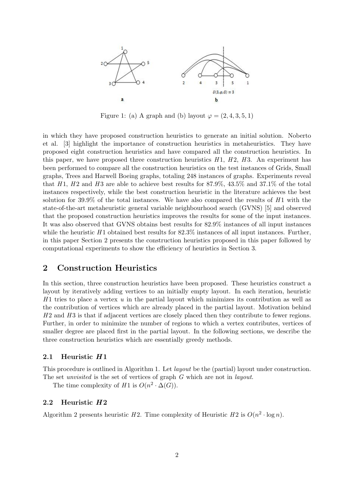

Figure 1: (a) A graph and (b) layout  $\varphi = (2, 4, 3, 5, 1)$ 

in which they have proposed construction heuristics to generate an initial solution. Noberto et al. [3] highlight the importance of construction heuristics in metaheuristics. They have proposed eight construction heuristics and have compared all the construction heuristics. In this paper, we have proposed three construction heuristics  $H_1$ ,  $H_2$ ,  $H_3$ . An experiment has been performed to compare all the construction heuristics on the test instances of Grids, Small graphs, Trees and Harwell Boeing graphs, totaling 248 instances of graphs. Experiments reveal that H<sub>1</sub>, H<sub>2</sub> and H<sub>3</sub> are able to achieve best results for  $87.9\%$ ,  $43.5\%$  and  $37.1\%$  of the total instances respectively, while the best construction heuristic in the literature achieves the best solution for 39.9% of the total instances. We have also compared the results of  $H1$  with the state-of-the-art metaheuristic general variable neighbourhood search (GVNS) [5] and observed that the proposed construction heuristics improves the results for some of the input instances. It was also observed that GVNS obtains best results for 82.9% instances of all input instances while the heuristic  $H_1$  obtained best results for 82.3% instances of all input instances. Further, in this paper Section 2 presents the construction heuristics proposed in this paper followed by computational experiments to show the efficiency of heuristics in Section 3.

# 2 Construction Heuristics

In this section, three construction heuristics have been proposed. These heuristics construct a layout by iteratively adding vertices to an initially empty layout. In each iteration, heuristic  $H_1$  tries to place a vertex u in the partial layout which minimizes its contribution as well as the contribution of vertices which are already placed in the partial layout. Motivation behind  $H2$  and  $H3$  is that if adjacent vertices are closely placed then they contribute to fewer regions. Further, in order to minimize the number of regions to which a vertex contributes, vertices of smaller degree are placed first in the partial layout. In the following sections, we describe the three construction heuristics which are essentially greedy methods.

## 2.1 Heuristic  $H1$

This procedure is outlined in Algorithm 1. Let layout be the (partial) layout under construction. The set *unvisited* is the set of vertices of graph G which are not in *layout*.

The time complexity of  $H1$  is  $O(n^2 \cdot \Delta(G))$ .

## 2.2 Heuristic  $H2$

Algorithm 2 presents heuristic H2. Time complexity of Heuristic H2 is  $O(n^2 \cdot \log n)$ .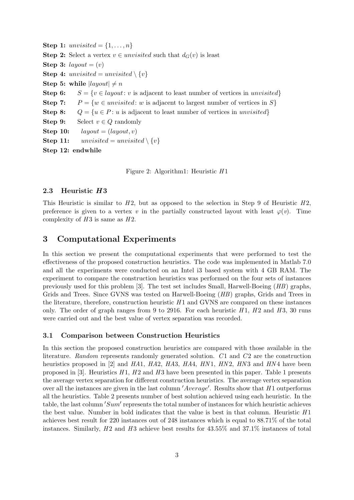Step 1: unvisited =  $\{1, \ldots, n\}$ **Step 2:** Select a vertex  $v \in unvisited$  such that  $d_G(v)$  is least Step 3: layout =  $(v)$ **Step 4:** unvisited = unvisited  $\{v\}$ Step 5: while  $|lagout| \neq n$ Step 6:  $S = \{v \in layout: v \text{ is adjacent to least number of vertices in *unvisited}\}\*$ Step 7:  $P = \{w \in unvisited: w \text{ is adjacent to largest number of vertices in } S\}$ Step 8:  $Q = \{u \in P : u \text{ is adjacent to least number of vertices in *unvisited}\}\*$ Step 9: Select  $v \in Q$  randomly Step 10:  $layout = (layout, v)$ **Step 11:** unvisited = unvisited  $\{v\}$ Step 12: endwhile

Figure 2: Algorithm1: Heuristic H 1

## 2.3 Heuristic H3

This Heuristic is similar to  $H2$ , but as opposed to the selection in Step 9 of Heuristic  $H2$ , preference is given to a vertex v in the partially constructed layout with least  $\varphi(v)$ . Time complexity of  $H3$  is same as  $H2$ .

# 3 Computational Experiments

In this section we present the computational experiments that were performed to test the effectiveness of the proposed construction heuristics. The code was implemented in Matlab 7.0 and all the experiments were conducted on an Intel i3 based system with 4 GB RAM. The experiment to compare the construction heuristics was performed on the four sets of instances previously used for this problem [3]. The test set includes Small, Harwell-Boeing (HB) graphs, Grids and Trees. Since GVNS was tested on Harwell-Boeing (HB) graphs, Grids and Trees in the literature, therefore, construction heuristic  $H1$  and GVNS are compared on these instances only. The order of graph ranges from 9 to 2916. For each heuristic  $H1$ ,  $H2$  and  $H3$ , 30 runs were carried out and the best value of vertex separation was recorded.

### 3.1 Comparison between Construction Heuristics

In this section the proposed construction heuristics are compared with those available in the literature. Random represents randomly generated solution.  $C1$  and  $C2$  are the construction heuristics proposed in [2] and  $HA1$ ,  $HA2$ ,  $HA3$ ,  $HA4$ ,  $HN1$ ,  $HN2$ ,  $HN3$  and  $HN4$  have been proposed in [3]. Heuristics  $H1$ ,  $H2$  and  $H3$  have been presented in this paper. Table 1 presents the average vertex separation for different construction heuristics. The average vertex separation over all the instances are given in the last column  $'Average'$ . Results show that  $H1$  outperforms all the heuristics. Table 2 presents number of best solution achieved using each heuristic. In the table, the last column 'Sum' represents the total number of instances for which heuristic achieves the best value. Number in bold indicates that the value is best in that column. Heuristic  $H1$ achieves best result for 220 instances out of 248 instances which is equal to 88.71% of the total instances. Similarly,  $H2$  and  $H3$  achieve best results for 43.55% and 37.1% instances of total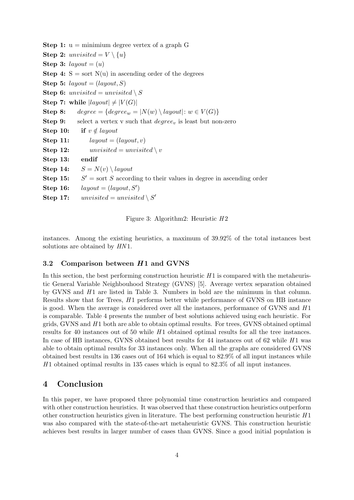**Step 1:**  $u =$  minimium degree vertex of a graph G Step 2: unvisited =  $V \setminus \{u\}$ Step 3: layout =  $(u)$ **Step 4:**  $S = sort N(u)$  in ascending order of the degrees Step 5:  $layout = (layout, S)$ **Step 6:** unvisited = unvisited  $\setminus S$ Step 7: while  $|layout| \neq |V(G)|$ Step 8: degree = {degree<sub>w</sub> =  $|N(w) \setminus layout|$ :  $w \in V(G)$ } **Step 9:** select a vertex v such that  $degree_v$  is least but non-zero Step 10: if  $v \notin layout$ Step 11:  $layout = (layout, v)$ **Step 12:** unvisited = unvisited \v Step 13: endif Step 14:  $S = N(v) \setminus layout$ Step 15:  $S' =$  sort S according to their values in degree in ascending order Step 16:  $layout = (layout, S')$ **Step 17:** unvisited = unvisited  $\setminus S'$ 

Figure 3: Algorithm2: Heuristic  $H2$ 

instances. Among the existing heuristics, a maximum of 39.92% of the total instances best solutions are obtained by  $HN1$ .

## 3.2 Comparison between  $H1$  and GVNS

In this section, the best performing construction heuristic  $H_1$  is compared with the metaheuristic General Variable Neighbouhood Strategy (GVNS) [5]. Average vertex separation obtained by GVNS and  $H_1$  are listed in Table 3. Numbers in bold are the minimum in that column. Results show that for Trees,  $H1$  performs better while performance of GVNS on HB instance is good. When the average is considered over all the instances, performance of GVNS and  $H1$ is comparable. Table 4 presents the number of best solutions achieved using each heuristic. For grids, GVNS and  $H_1$  both are able to obtain optimal results. For trees, GVNS obtained optimal results for 40 instances out of 50 while  $H_1$  obtained optimal results for all the tree instances. In case of HB instances, GVNS obtained best results for 44 instances out of  $62$  while  $H1$  was able to obtain optimal results for 33 instances only. When all the graphs are considered GVNS obtained best results in 136 cases out of 164 which is equal to 82.9% of all input instances while H 1 obtained optimal results in 135 cases which is equal to 82.3% of all input instances.

# 4 Conclusion

In this paper, we have proposed three polynomial time construction heuristics and compared with other construction heuristics. It was observed that these construction heuristics outperform other construction heuristics given in literature. The best performing construction heuristic  $H1$ was also compared with the state-of-the-art metaheuristic GVNS. This construction heuristic achieves best results in larger number of cases than GVNS. Since a good initial population is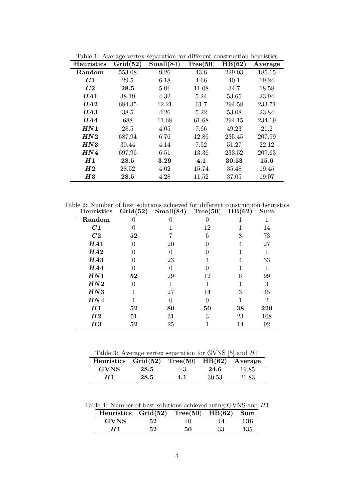| Heuristics     | $\smash{\smash{\cup}}$<br>Grid(52) | л.<br>Small(84) | Tree(50) | HB(62) | Average |
|----------------|------------------------------------|-----------------|----------|--------|---------|
| Random         | 553.08                             | 9.26            | 43.6     | 229.03 | 185.15  |
| C1             | 29.5                               | 6.18            | 4.66     | 40.1   | 19.24   |
| C <sub>2</sub> | 28.5                               | 5.01            | 11.08    | 34.7   | 18.58   |
| HA1            | 38.19                              | 4.32            | 5.24     | 53.65  | 23.94   |
| HA2            | 684.35                             | 12.21           | 61.7     | 294.58 | 233.71  |
| HA3            | 38.5                               | 4.26            | 5.22     | 53.08  | 23.84   |
| HA4            | 688                                | 11.68           | 61.68    | 294.15 | 234.19  |
| HN1            | 28.5                               | 4.05            | 7.66     | 49.23  | 21.2    |
| HN2            | 687.94                             | 6.76            | 12.86    | 235.45 | 207.99  |
| HN3            | 30.44                              | 4.14            | 7.52     | 51.27  | 22.12   |
| HN4            | 697.96                             | 6.51            | 13.36    | 233.52 | 209.63  |
| H1             | 28.5                               | 3.29            | 4.1      | 30.53  | 15.6    |
| H 2            | 28.52                              | 4.02            | 15.74    | 35.48  | 19.45   |
| H3             | 28.5                               | 4.28            | 11.52    | 37.05  | 19.07   |

Table 1: Average vertex separation for different construction heuristics

Table 2: Number of best solutions achieved for different construction heuristics

| <b>Heuristics</b> | Grid(52) | Small(84) | Tree(50) | HB(62) | Sum            |
|-------------------|----------|-----------|----------|--------|----------------|
| Random            |          |           |          |        |                |
| C1                |          |           | 12       |        | 14             |
| C <sub>2</sub>    | 52       |           | 6        |        | 73             |
| HA1               |          | 20        |          | 4      | 27             |
| HA2               |          |           |          |        |                |
| HA3               |          | 23        | 4        | 4      | 33             |
| HA4               |          |           |          |        |                |
| HN1               | 52       | 29        | 12       | 6      | 99             |
| HN2               |          |           |          |        | 3              |
| HN3               |          | 27        | 14       | 3      | 45             |
| HN4               |          |           |          |        | $\overline{2}$ |
| H1                | 52       | 80        | 50       | 38     | 220            |
| H <sub>2</sub>    | 51       | 31        | 3        | 23     | 108            |
| H3                | 52       | 25        |          | 14     | 92             |

Table 3: Average vertex separation for GVNS  $[5]$  and  $H1$ 

| Heuristics $Grid(52) Tree(50) HB(62) Average$ |      |     |       |       |
|-----------------------------------------------|------|-----|-------|-------|
| GVNS                                          | 28.5 | 4.3 | 24.6  | 19.85 |
|                                               | 28.5 | 4.1 | 30.53 | 21.83 |

Table 4: Number of best solutions achieved using GVNS and  $H1$ 

| Heuristics $Grid(52)$ Tree $(50)$ HB $(62)$ Sum |     |    |     |     |
|-------------------------------------------------|-----|----|-----|-----|
| <b>GVNS</b>                                     | 52. | 40 | 44  | 136 |
|                                                 | 52. | 50 | -33 | 135 |